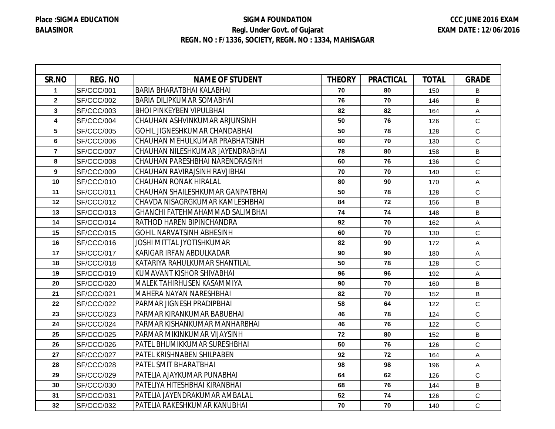Г

## **SIGMA FOUNDATION Regi. Under Govt. of Gujarat REGN. NO : F/1336, SOCIETY, REGN. NO : 1334, MAHISAGAR**

┑

| SR.NO          | <b>REG. NO</b> | <b>NAME OF STUDENT</b>               | <b>THEORY</b> | <b>PRACTICAL</b> | <b>TOTAL</b> | <b>GRADE</b> |
|----------------|----------------|--------------------------------------|---------------|------------------|--------------|--------------|
| $\mathbf{1}$   | SF/CCC/001     | <b>BARIA BHARATBHAI KALABHAI</b>     | 70            | 80               | 150          | B            |
| $\mathbf{2}$   | SF/CCC/002     | <b>BARIA DILIPKUMAR SOMABHAI</b>     | 76            | 70               | 146          | B            |
| 3              | SF/CCC/003     | <b>BHOI PINKEYBEN VIPULBHAI</b>      | 82            | 82               | 164          | A            |
| 4              | SF/CCC/004     | CHAUHAN ASHVINKUMAR ARJUNSINH        | 50            | 76               | 126          | $\mathsf C$  |
| 5              | SF/CCC/005     | <b>GOHIL JIGNESHKUMAR CHANDABHAI</b> | 50            | 78               | 128          | $\mathbf C$  |
| 6              | SF/CCC/006     | CHAUHAN MEHULKUMAR PRABHATSINH       | 60            | 70               | 130          | $\mathsf{C}$ |
| $\overline{7}$ | SF/CCC/007     | CHAUHAN NILESHKUMAR JAYENDRABHAI     | 78            | 80               | 158          | B            |
| 8              | SF/CCC/008     | CHAUHAN PARESHBHAI NARENDRASINH      | 60            | 76               | 136          | $\mathbf C$  |
| 9              | SF/CCC/009     | CHAUHAN RAVIRAJSINH RAVJIBHAI        | 70            | 70               | 140          | $\mathsf{C}$ |
| 10             | SF/CCC/010     | <b>CHAUHAN RONAK HIRALAL</b>         | 80            | 90               | 170          | Α            |
| 11             | SF/CCC/011     | CHAUHAN SHAILESHKUMAR GANPATBHAI     | 50            | 78               | 128          | $\mathsf{C}$ |
| 12             | SF/CCC/012     | CHAVDA NISAGRGKUMAR KAMLESHBHAI      | 84            | 72               | 156          | B            |
| 13             | SF/CCC/013     | GHANCHI FATEHMAHAMMAD SALIMBHAI      | 74            | 74               | 148          | B            |
| 14             | SF/CCC/014     | <b>RATHOD HAREN BIPINCHANDRA</b>     | 92            | 70               | 162          | A            |
| 15             | SF/CCC/015     | <b>GOHIL NARVATSINH ABHESINH</b>     | 60            | 70               | 130          | C            |
| 16             | SF/CCC/016     | JOSHI MITTAL JYOTISHKUMAR            | 82            | 90               | 172          | A            |
| 17             | SF/CCC/017     | KARIGAR IRFAN ABDULKADAR             | 90            | 90               | 180          | Α            |
| 18             | SF/CCC/018     | KATARIYA RAHULKUMAR SHANTILAL        | 50            | 78               | 128          | $\mathsf{C}$ |
| 19             | SF/CCC/019     | KUMAVANT KISHOR SHIVABHAI            | 96            | 96               | 192          | A            |
| 20             | SF/CCC/020     | MALEK TAHIRHUSEN KASAMMIYA           | 90            | 70               | 160          | B            |
| 21             | SF/CCC/021     | MAHERA NAYAN NARESHBHAI              | 82            | 70               | 152          | B            |
| 22             | SF/CCC/022     | PARMAR JIGNESH PRADIPBHAI            | 58            | 64               | 122          | $\mathbf C$  |
| 23             | SF/CCC/023     | PARMAR KIRANKUMAR BABUBHAI           | 46            | 78               | 124          | $\mathsf{C}$ |
| 24             | SF/CCC/024     | PARMAR KISHANKUMAR MANHARBHAI        | 46            | 76               | 122          | $\mathbf C$  |
| 25             | SF/CCC/025     | PARMAR MIKINKUMAR VIJAYSINH          | 72            | 80               | 152          | B            |
| 26             | SF/CCC/026     | <b>PATEL BHUMIKKUMAR SURESHBHAI</b>  | 50            | 76               | 126          | $\mathsf{C}$ |
| 27             | SF/CCC/027     | PATEL KRISHNABEN SHILPABEN           | 92            | 72               | 164          | A            |
| 28             | SF/CCC/028     | PATEL SMIT BHARATBHAI                | 98            | 98               | 196          | A            |
| 29             | SF/CCC/029     | PATELIA AJAYKUMAR PUNABHAI           | 64            | 62               | 126          | $\mathbf C$  |
| 30             | SF/CCC/030     | PATELIYA HITESHBHAI KIRANBHAI        | 68            | 76               | 144          | B            |
| 31             | SF/CCC/031     | PATELIA JAYENDRAKUMAR AMBALAL        | 52            | 74               | 126          | $\mathbf C$  |
| 32             | SF/CCC/032     | PATELIA RAKESHKUMAR KANUBHAI         | 70            | 70               | 140          | $\mathsf{C}$ |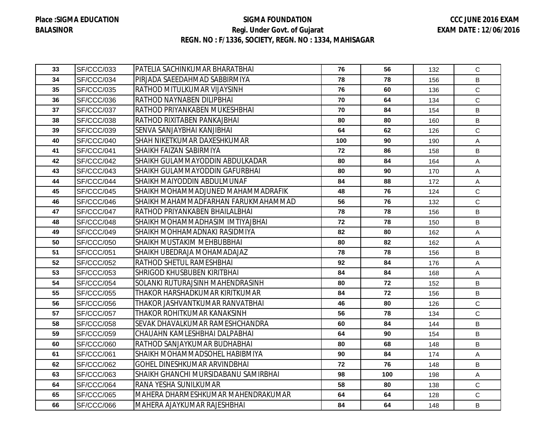## **SIGMA FOUNDATION Regi. Under Govt. of Gujarat REGN. NO : F/1336, SOCIETY, REGN. NO : 1334, MAHISAGAR**

| 33 | SF/CCC/033        | PATELIA SACHINKUMAR BHARATBHAI       | 76  | 56  | 132 | $\mathbf C$  |
|----|-------------------|--------------------------------------|-----|-----|-----|--------------|
| 34 | SF/CCC/034        | PIRJADA SAEEDAHMAD SABBIRMIYA        | 78  | 78  | 156 | B            |
| 35 | SF/CCC/035        | RATHOD MITULKUMAR VIJAYSINH          | 76  | 60  | 136 | $\mathbf C$  |
| 36 | SF/CCC/036        | RATHOD NAYNABEN DILIPBHAI            | 70  | 64  | 134 | $\mathbf C$  |
| 37 | SF/CCC/037        | RATHOD PRIYANKABEN MUKESHBHAI        | 70  | 84  | 154 | B            |
| 38 | SF/CCC/038        | RATHOD RIXITABEN PANKAJBHAI          | 80  | 80  | 160 | B            |
| 39 | SF/CCC/039        | SENVA SANJAYBHAI KANJIBHAI           | 64  | 62  | 126 | $\mathsf{C}$ |
| 40 | SF/CCC/040        | SHAH NIKETKUMAR DAXESHKUMAR          | 100 | 90  | 190 | A            |
| 41 | SF/CCC/041        | <b>SHAIKH FAIZAN SABIRMIYA</b>       | 72  | 86  | 158 | B            |
| 42 | SF/CCC/042        | SHAIKH GULAMMAYODDIN ABDULKADAR      | 80  | 84  | 164 | A            |
| 43 | SF/CCC/043        | SHAIKH GULAMMAYODDIN GAFURBHAI       | 80  | 90  | 170 | Α            |
| 44 | SF/CCC/044        | SHAIKH MAIYODDIN ABDULMUNAF          | 84  | 88  | 172 | A            |
| 45 | SF/CCC/045        | SHAIKH MOHAMMADJUNED MAHAMMADRAFIK   | 48  | 76  | 124 | $\mathbf C$  |
| 46 | SF/CCC/046        | SHAIKH MAHAMMADFARHAN FARUKMAHAMMAD  | 56  | 76  | 132 | $\mathbf C$  |
| 47 | SF/CCC/047        | RATHOD PRIYANKABEN BHAILALBHAI       | 78  | 78  | 156 | B            |
| 48 | SF/CCC/048        | SHAIKH MOHAMMADHASIM IMTIYAJBHAI     | 72  | 78  | 150 | B            |
| 49 | SF/CCC/049        | SHAIKH MOHHAMADNAKI RASIDMIYA        | 82  | 80  | 162 | $\mathsf{A}$ |
| 50 | SF/CCC/050        | ISHAIKH MUSTAKIM MEHBUBBHAI          | 80  | 82  | 162 | Α            |
| 51 | SF/CCC/051        | SHAIKH UBEDRAJA MOHAMADAJAZ          | 78  | 78  | 156 | B            |
| 52 | SF/CCC/052        | IRATHOD SHETUL RAMESHBHAI            | 92  | 84  | 176 | A            |
| 53 | SF/CCC/053        | <b>SHRIGOD KHUSBUBEN KIRITBHAI</b>   | 84  | 84  | 168 | Α            |
| 54 | SF/CCC/054        | SOLANKI RUTURAJSINH MAHENDRASINH     | 80  | 72  | 152 | B            |
| 55 | <b>SF/CCC/055</b> | THAKOR HARSHADKUMAR KIRITKUMAR       | 84  | 72  | 156 | B            |
| 56 | SF/CCC/056        | THAKOR JASHVANTKUMAR RANVATBHAI      | 46  | 80  | 126 | $\mathbf C$  |
| 57 | SF/CCC/057        | THAKOR ROHITKUMAR KANAKSINH          | 56  | 78  | 134 | $\mathbf C$  |
| 58 | <b>SF/CCC/058</b> | SEVAK DHAVALKUMAR RAMESHCHANDRA      | 60  | 84  | 144 | B            |
| 59 | SF/CCC/059        | CHAUAHN KAMLESHBHAI DALPABHAI        | 64  | 90  | 154 | B            |
| 60 | SF/CCC/060        | IRATHOD SANJAYKUMAR BUDHABHAI        | 80  | 68  | 148 | B            |
| 61 | SF/CCC/061        | SHAIKH MOHAMMADSOHEL HABIBMIYA       | 90  | 84  | 174 | Α            |
| 62 | SF/CCC/062        | <b>GOHEL DINESHKUMAR ARVINDBHAI</b>  | 72  | 76  | 148 | B            |
| 63 | SF/CCC/063        | SHAIKH GHANCHI MURSIDABANU SAMIRBHAI | 98  | 100 | 198 | Α            |
| 64 | SF/CCC/064        | RANA YESHA SUNILKUMAR                | 58  | 80  | 138 | $\mathbf C$  |
| 65 | SF/CCC/065        | MAHERA DHARMESHKUMAR MAHENDRAKUMAR   | 64  | 64  | 128 | $\mathbf C$  |
| 66 | SF/CCC/066        | MAHERA AJAYKUMAR RAJESHBHAI          | 84  | 64  | 148 | B            |